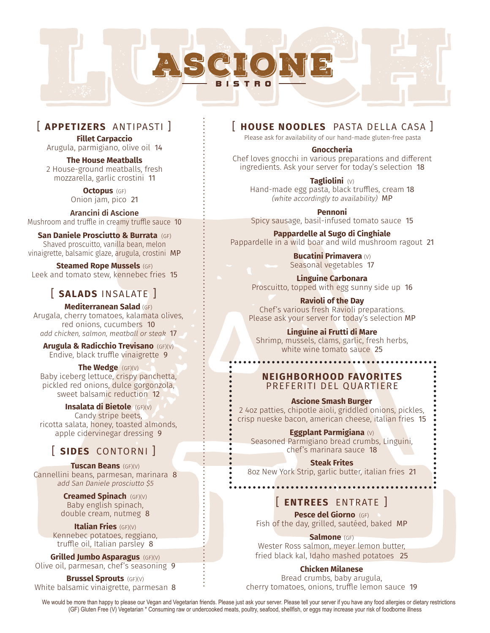

## [ **APPETIZERS** ANTIPASTI ]

**Fillet Carpaccio** Arugula, parmigiano, olive oil 14

**The House Meatballs**  2 House-ground meatballs, fresh mozzarella, garlic crostini 11

> **Octopus** (GF) Onion jam, pico 21

Mushroom and truffle in creamy truffle sauce 10 Arancini di Ascione

**San Daniele Prosciutto & Burrata** (GF) Shaved proscuitto, vanilla bean, melon vinaigrette, balsamic glaze, arugula, crostini MP

**Steamed Rope Mussels** (GF) Leek and tomato stew, kennebec fries 15

# [ **SALADS** INSALATE ]

**Mediterranean Salad** (GF) Arugala, cherry tomatoes, kalamata olives, red onions, cucumbers 10 *add chicken, salmon, meatball or steak* 17

**Arugula & Radicchio Trevisano** (GF)(V) Endive, black truffle vinaigrette 9

**The Wedge** (GF)(V) Baby iceberg lettuce, crispy panchetta, pickled red onions, dulce gorgonzola, sweet balsamic reduction 12

**Insalata di Bietole** (GF)(V) Candy stripe beets, ricotta salata, honey, toasted almonds, apple cidervinegar dressing 9

# [ **SIDES** CONTORNI ]

**Tuscan Beans** (GF)(V) Cannellini beans, parmesan, marinara 8 add San Daniele prosciutto \$5

> **Creamed Spinach** (GF)(V) Baby english spinach, double cream, nutmeg 8

**Italian Fries** (GF)(V) Kennebec potatoes, reggiano, truffle oil, Italian parsley 8

**Grilled Jumbo Asparagus** (GF)(V) Olive oil, parmesan, chef's seasoning 9

**Brussel Sprouts** (GF)(V) White balsamic vinaigrette, parmesan 8

## [ **HOUSE NOODLES** PASTA DELLA CASA ]

Please ask for availability of our hand-made gluten-free pasta

#### **Gnoccheria**

Chef loves gnocchi in various preparations and different ingredients. Ask your server for today's selection 18

**Tagliolini** (V) Hand-made egg pasta, black truffles, cream 18 (white accordingly to availability) MP

**Pennoni**  Spicy sausage, basil-infused tomato sauce 15

**Pappardelle al Sugo di Cinghiale** Pappardelle in a wild boar and wild mushroom ragout 21

> **Bucatini Primavera** (V) Seasonal vegetables 17

**Linguine Carbonara** Proscuitto, topped with egg sunny side up 16

**Ravioli of the Day** Chef's various fresh Ravioli preparations. Please ask your server for today's selection MP

### **Linguine ai Frutti di Mare**

Shrimp, mussels, clams, garlic, fresh herbs, white wine tomato sauce 25

## **NEIGHBORHOOD FAVORITES** PREFERITI DEL QUARTIERE

#### **Ascione Smash Burger**

2 4oz patties, chipotle aioli, griddled onions, pickles, crisp nueske bacon, american cheese, italian fries 15

#### **Eggplant Parmigiana** (V)

Seasoned Parmigiano bread crumbs, Linguini, chef's marinara sauce 18

#### **Steak Frites**

8oz New York Strip, garlic butter, italian fries 21

# [ **ENTREES** ENTRATE ]

**Pesce del Giorno** (GF) Fish of the day, grilled, sautéed, baked MP

**Salmone** (GF)

Wester Ross salmon, meyer lemon butter, fried black kal, Idaho mashed potatoes 25

### **Chicken Milanese**

Bread crumbs, baby arugula, cherry tomatoes, onions, truffle lemon sauce 19

We would be more than happy to please our Vegan and Vegetarian friends. Please just ask your server. Please tell your server if you have any food allergies or dietary restrictions (GF) Gluten Free (V) Vegetarian \* Consuming raw or undercooked meats, poultry, seafood, shellfish, or eggs may increase your risk of foodborne illness